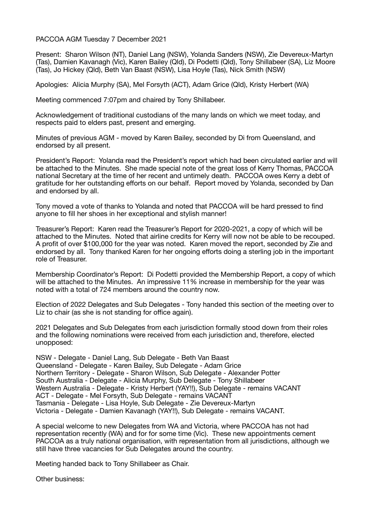## PACCOA AGM Tuesday 7 December 2021

Present: Sharon Wilson (NT), Daniel Lang (NSW), Yolanda Sanders (NSW), Zie Devereux-Martyn (Tas), Damien Kavanagh (Vic), Karen Bailey (Qld), Di Podetti (Qld), Tony Shillabeer (SA), Liz Moore (Tas), Jo Hickey (Qld), Beth Van Baast (NSW), Lisa Hoyle (Tas), Nick Smith (NSW)

Apologies: Alicia Murphy (SA), Mel Forsyth (ACT), Adam Grice (Qld), Kristy Herbert (WA)

Meeting commenced 7:07pm and chaired by Tony Shillabeer.

Acknowledgement of traditional custodians of the many lands on which we meet today, and respects paid to elders past, present and emerging.

Minutes of previous AGM - moved by Karen Bailey, seconded by Di from Queensland, and endorsed by all present.

President's Report: Yolanda read the President's report which had been circulated earlier and will be attached to the Minutes. She made special note of the great loss of Kerry Thomas, PACCOA national Secretary at the time of her recent and untimely death. PACCOA owes Kerry a debt of gratitude for her outstanding efforts on our behalf. Report moved by Yolanda, seconded by Dan and endorsed by all.

Tony moved a vote of thanks to Yolanda and noted that PACCOA will be hard pressed to find anyone to fill her shoes in her exceptional and stylish manner!

Treasurer's Report: Karen read the Treasurer's Report for 2020-2021, a copy of which will be attached to the Minutes. Noted that airline credits for Kerry will now not be able to be recouped. A profit of over \$100,000 for the year was noted. Karen moved the report, seconded by Zie and endorsed by all. Tony thanked Karen for her ongoing efforts doing a sterling job in the important role of Treasurer.

Membership Coordinator's Report: Di Podetti provided the Membership Report, a copy of which will be attached to the Minutes. An impressive 11% increase in membership for the year was noted with a total of 724 members around the country now.

Election of 2022 Delegates and Sub Delegates - Tony handed this section of the meeting over to Liz to chair (as she is not standing for office again).

2021 Delegates and Sub Delegates from each jurisdiction formally stood down from their roles and the following nominations were received from each jurisdiction and, therefore, elected unopposed:

NSW - Delegate - Daniel Lang, Sub Delegate - Beth Van Baast Queensland - Delegate - Karen Bailey, Sub Delegate - Adam Grice Northern Territory - Delegate - Sharon Wilson, Sub Delegate - Alexander Potter South Australia - Delegate - Alicia Murphy, Sub Delegate - Tony Shillabeer Western Australia - Delegate - Kristy Herbert (YAY!!), Sub Delegate - remains VACANT ACT - Delegate - Mel Forsyth, Sub Delegate - remains VACANT Tasmania - Delegate - Lisa Hoyle, Sub Delegate - Zie Devereux-Martyn Victoria - Delegate - Damien Kavanagh (YAY!!), Sub Delegate - remains VACANT.

A special welcome to new Delegates from WA and Victoria, where PACCOA has not had representation recently (WA) and for for some time (Vic). These new appointments cement PACCOA as a truly national organisation, with representation from all jurisdictions, although we still have three vacancies for Sub Delegates around the country.

Meeting handed back to Tony Shillabeer as Chair.

Other business: